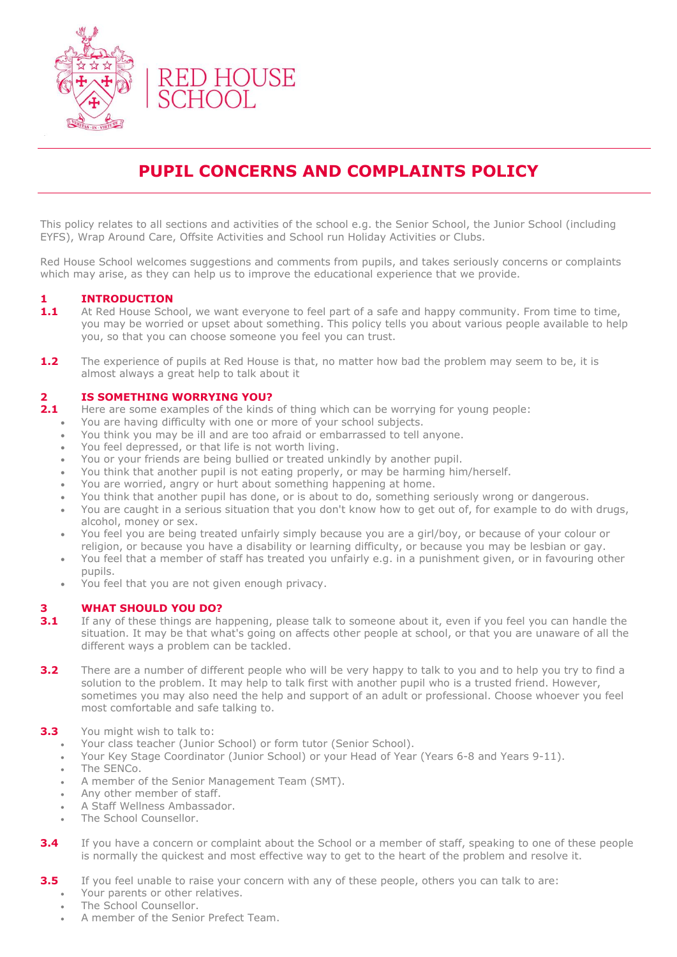

# **PUPIL CONCERNS AND COMPLAINTS POLICY**

This policy relates to all sections and activities of the school e.g. the Senior School, the Junior School (including EYFS), Wrap Around Care, Offsite Activities and School run Holiday Activities or Clubs.

Red House School welcomes suggestions and comments from pupils, and takes seriously concerns or complaints which may arise, as they can help us to improve the educational experience that we provide.

### **1 INTRODUCTION**

- **1.1** At Red House School, we want everyone to feel part of a safe and happy community. From time to time, you may be worried or upset about something. This policy tells you about various people available to help you, so that you can choose someone you feel you can trust.
- **1.2** The experience of pupils at Red House is that, no matter how bad the problem may seem to be, it is almost always a great help to talk about it

#### **2 IS SOMETHING WORRYING YOU?**

- **2.1** Here are some examples of the kinds of thing which can be worrying for young people:
	- You are having difficulty with one or more of your school subjects.
	- You think you may be ill and are too afraid or embarrassed to tell anyone.
	- You feel depressed, or that life is not worth living.
	- You or your friends are being bullied or treated unkindly by another pupil.
	- You think that another pupil is not eating properly, or may be harming him/herself.
	- You are worried, angry or hurt about something happening at home.
	- You think that another pupil has done, or is about to do, something seriously wrong or dangerous.
	- You are caught in a serious situation that you don't know how to get out of, for example to do with drugs, alcohol, money or sex.
	- You feel you are being treated unfairly simply because you are a girl/boy, or because of your colour or religion, or because you have a disability or learning difficulty, or because you may be lesbian or gay.
	- You feel that a member of staff has treated you unfairly e.g. in a punishment given, or in favouring other pupils.
	- You feel that you are not given enough privacy.

#### **3 WHAT SHOULD YOU DO?**

- **3.1** If any of these things are happening, please talk to someone about it, even if you feel you can handle the situation. It may be that what's going on affects other people at school, or that you are unaware of all the different ways a problem can be tackled.
- **3.2** There are a number of different people who will be very happy to talk to you and to help you try to find a solution to the problem. It may help to talk first with another pupil who is a trusted friend. However, sometimes you may also need the help and support of an adult or professional. Choose whoever you feel most comfortable and safe talking to.
- **3.3** You might wish to talk to:
	- Your class teacher (Junior School) or form tutor (Senior School).
	- Your Key Stage Coordinator (Junior School) or your Head of Year (Years 6-8 and Years 9-11).
	- The SENCo.
	- A member of the Senior Management Team (SMT).
	- Any other member of staff.
	- A Staff Wellness Ambassador.
	- The School Counsellor.
- **3.4** If you have a concern or complaint about the School or a member of staff, speaking to one of these people is normally the quickest and most effective way to get to the heart of the problem and resolve it.
- **3.5** If you feel unable to raise your concern with any of these people, others you can talk to are:
	- Your parents or other relatives.
	- The School Counsellor.
	- A member of the Senior Prefect Team.